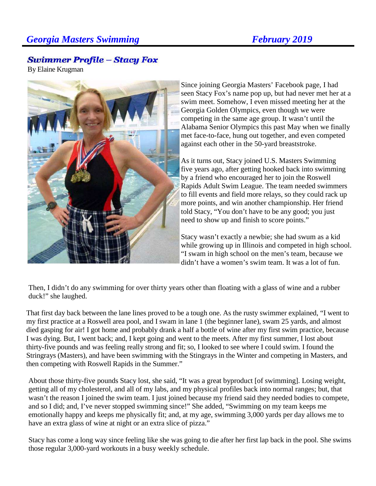## *Georgia Masters Swimming* February 2019

## **Swimmer Profile – Stacy Fox**

By Elaine Krugman



Since joining Georgia Masters' Facebook page, I had seen Stacy Fox's name pop up, but had never met her at a swim meet. Somehow, I even missed meeting her at the Georgia Golden Olympics, even though we were competing in the same age group. It wasn't until the Alabama Senior Olympics this past May when we finally met face-to-face, hung out together, and even competed against each other in the 50-yard breaststroke.

As it turns out, Stacy joined U.S. Masters Swimming five years ago, after getting hooked back into swimming by a friend who encouraged her to join the Roswell Rapids Adult Swim League. The team needed swimmers to fill events and field more relays, so they could rack up more points, and win another championship. Her friend told Stacy, "You don't have to be any good; you just need to show up and finish to score points."

Stacy wasn't exactly a newbie; she had swum as a kid while growing up in Illinois and competed in high school. "I swam in high school on the men's team, because we didn't have a women's swim team. It was a lot of fun.

Then, I didn't do any swimming for over thirty years other than floating with a glass of wine and a rubber duck!" she laughed.

That first day back between the lane lines proved to be a tough one. As the rusty swimmer explained, "I went to my first practice at a Roswell area pool, and I swam in lane 1 (the beginner lane), swam 25 yards, and almost died gasping for air! I got home and probably drank a half a bottle of wine after my first swim practice, because I was dying. But, I went back; and, I kept going and went to the meets. After my first summer, I lost about thirty-five pounds and was feeling really strong and fit; so, I looked to see where I could swim. I found the Stringrays (Masters), and have been swimming with the Stingrays in the Winter and competing in Masters, and then competing with Roswell Rapids in the Summer."

About those thirty-five pounds Stacy lost, she said, "It was a great byproduct [of swimming]. Losing weight, getting all of my cholesterol, and all of my labs, and my physical profiles back into normal ranges; but, that wasn't the reason I joined the swim team. I just joined because my friend said they needed bodies to compete, and so I did; and, I've never stopped swimming since!" She added, "Swimming on my team keeps me emotionally happy and keeps me physically fit; and, at my age, swimming 3,000 yards per day allows me to have an extra glass of wine at night or an extra slice of pizza."

Stacy has come a long way since feeling like she was going to die after her first lap back in the pool. She swims those regular 3,000-yard workouts in a busy weekly schedule.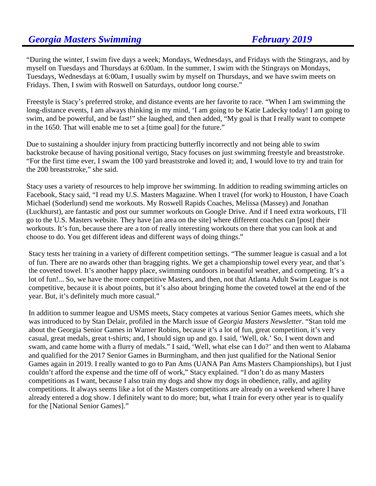"During the winter, I swim five days a week; Mondays, Wednesdays, and Fridays with the Stingrays, and by myself on Tuesdays and Thursdays at 6:00am. In the summer, I swim with the Stingrays on Mondays, Tuesdays, Wednesdays at 6:00am, I usually swim by myself on Thursdays, and we have swim meets on Fridays. Then, I swim with Roswell on Saturdays, outdoor long course."

Freestyle is Stacy's preferred stroke, and distance events are her favorite to race. "When I am swimming the long-distance events, I am always thinking in my mind, 'I am going to be Katie Ladecky today! I am going to swim, and be powerful, and be fast!" she laughed, and then added, "My goal is that I really want to compete in the 1650. That will enable me to set a [time goal] for the future."

Due to sustaining a shoulder injury from practicing butterfly incorrectly and not being able to swim backstroke because of having positional vertigo, Stacy focuses on just swimming freestyle and breaststroke. "For the first time ever, I swam the 100 yard breaststroke and loved it; and, I would love to try and train for the 200 breaststroke," she said.

Stacy uses a variety of resources to help improve her swimming. In addition to reading swimming articles on Facebook, Stacy said, "I read my U.S. Masters Magazine. When I travel (for work) to Houston, I have Coach Michael (Soderlund) send me workouts. My Roswell Rapids Coaches, Melissa (Massey) and Jonathan (Luckhurst), are fantastic and post our summer workouts on Google Drive. And if I need extra workouts, I'll go to the U.S. Masters website. They have [an area on the site] where different coaches can [post] their workouts. It's fun, because there are a ton of really interesting workouts on there that you can look at and choose to do. You get different ideas and different ways of doing things."

Stacy tests her training in a variety of different competition settings. "The summer league is casual and a lot of fun. There are no awards other than bragging rights. We get a championship towel every year, and that's the coveted towel. It's another happy place, swimming outdoors in beautiful weather, and competing. It's a lot of fun!... So, we have the more competitive Masters, and then, not that Atlanta Adult Swim League is not competitive, because it is about points, but it's also about bringing home the coveted towel at the end of the year. But, it's definitely much more casual."

In addition to summer league and USMS meets, Stacy competes at various Senior Games meets, which she was introduced to by Stan Delair, profiled in the March issue of *Georgia Masters Newsletter*. "Stan told me about the Georgia Senior Games in Warner Robins, because it's a lot of fun, great competition, it's very casual, great medals, great t-shirts; and, I should sign up and go. I said, 'Well, ok.' So, I went down and swam, and came home with a flurry of medals." I said, 'Well, what else can I do?' and then went to Alabama and qualified for the 2017 Senior Games in Burmingham, and then just qualified for the National Senior Games again in 2019. I really wanted to go to Pan Ams (UANA Pan Ams Masters Championships), but I just couldn't afford the expense and the time off of work," Stacy explained. "I don't do as many Masters competitions as I want, because I also train my dogs and show my dogs in obedience, rally, and agility competitions. It always seems like a lot of the Masters competitions are already on a weekend where I have already entered a dog show. I definitely want to do more; but, what I train for every other year is to qualify for the [National Senior Games]."